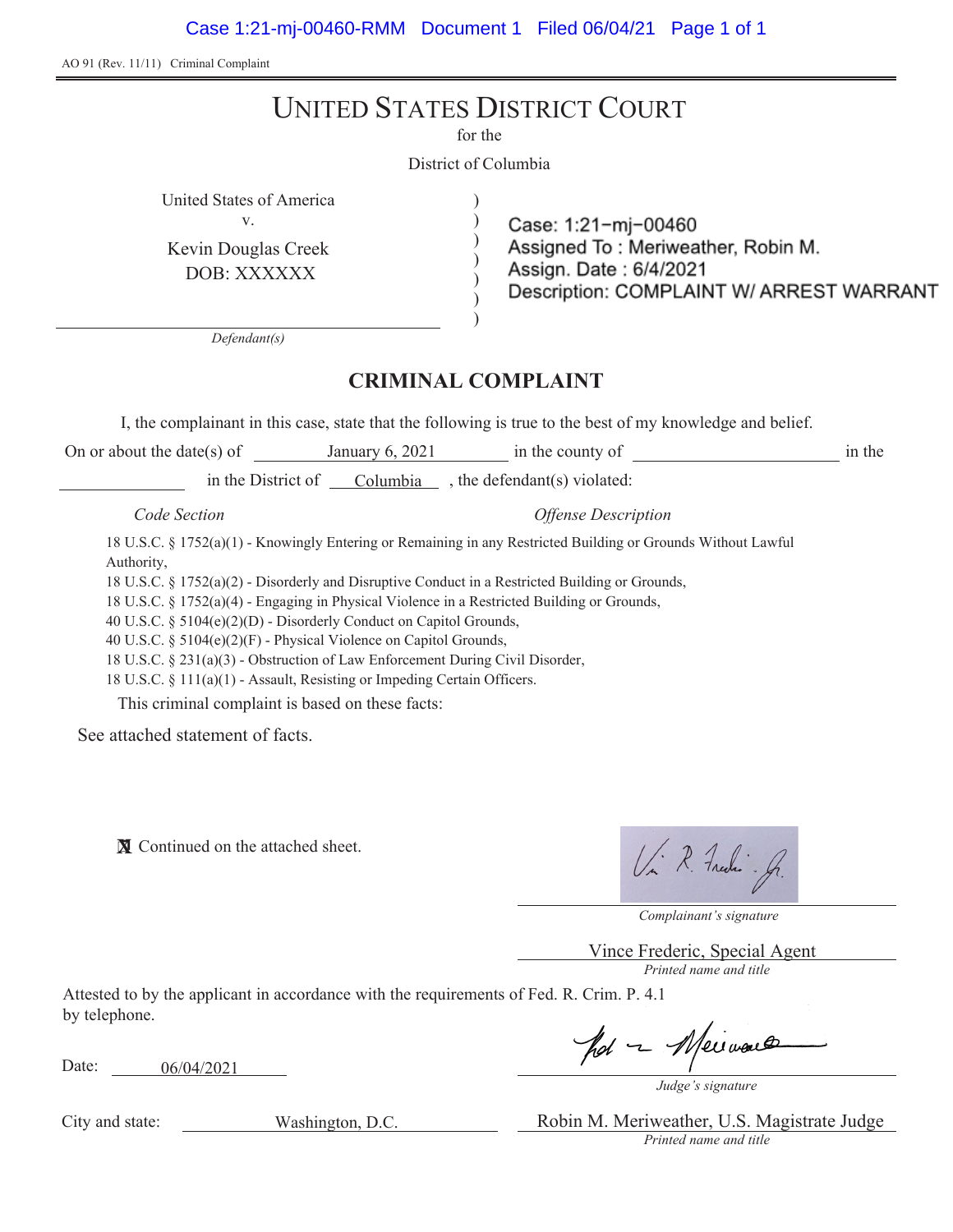Case 1:21-mj-00460-RMM Document 1 Filed 06/04/21 Page 1 of 1

AO 91 (Rev. 11/11) Criminal Complaint

# UNITED STATES DISTRICT COURT

for the

District of Columbia

) ) ) ) ) )

United States of America ) v. Kevin Douglas Creek

DOB: XXXXXX

Case: 1:21-mj-00460<br>Assigned To : Meriweather, Robin M. Assign. Date: 6/4/2021 Description: COMPLAINT W/ ARREST WARRANT

*Defendant(s)*

# **CRIMINAL COMPLAINT**

I, the complainant in this case, state that the following is true to the best of my knowledge and belief.

On or about the date(s) of January 6, 2021 in the county of in the in the District of Columbia , the defendant(s) violated:

*Code Section Offense Description*

18 U.S.C. § 1752(a)(1) - Knowingly Entering or Remaining in any Restricted Building or Grounds Without Lawful Authority,

18 U.S.C. § 1752(a)(2) - Disorderly and Disruptive Conduct in a Restricted Building or Grounds,

18 U.S.C. § 1752(a)(4) - Engaging in Physical Violence in a Restricted Building or Grounds,

40 U.S.C. § 5104(e)(2)(D) - Disorderly Conduct on Capitol Grounds,

40 U.S.C. § 5104(e)(2)(F) - Physical Violence on Capitol Grounds,

18 U.S.C. § 231(a)(3) - Obstruction of Law Enforcement During Civil Disorder,

18 U.S.C. § 111(a)(1) - Assault, Resisting or Impeding Certain Officers.

This criminal complaint is based on these facts:

See attached statement of facts.

**X** Continued on the attached sheet.

Vi R. Fredri. Jr.

*Complainant's signature*

*Printed name and title* Vince Frederic, Special Agent

Attested to by the applicant in accordance with the requirements of Fed. R. Crim. P. 4.1 by telephone.

Date: 06/04/2021

pd - Meivous

*Judge's signature*

City and state:

Washington, D.C.

*Printed name and title* Robin M. Meriweather, U.S. Magistrate Judge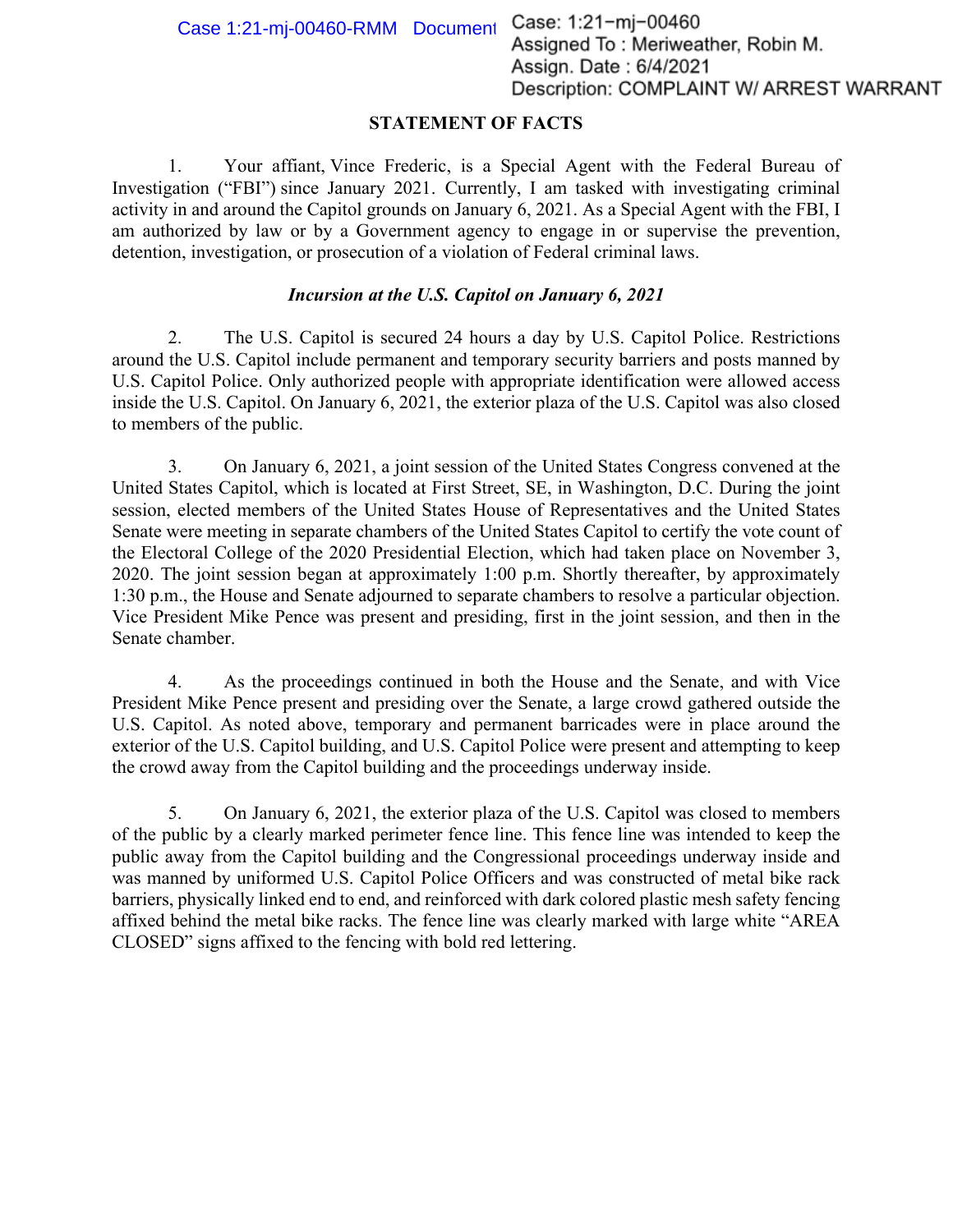# Case 1:21-mj-00460-RMM Document Case: 1:21-mj-00460<br>Assigned To: Meriweather, Robin M. Assign. Date: 6/4/2021 Description: COMPLAINT W/ ARREST WARRANT

## **STATEMENT OF FACTS**

1. Your affiant, Vince Frederic, is a Special Agent with the Federal Bureau of Investigation ("FBI") since January 2021. Currently, I am tasked with investigating criminal activity in and around the Capitol grounds on January 6, 2021. As a Special Agent with the FBI, I am authorized by law or by a Government agency to engage in or supervise the prevention, detention, investigation, or prosecution of a violation of Federal criminal laws.

### *Incursion at the U.S. Capitol on January 6, 2021*

2. The U.S. Capitol is secured 24 hours a day by U.S. Capitol Police. Restrictions around the U.S. Capitol include permanent and temporary security barriers and posts manned by U.S. Capitol Police. Only authorized people with appropriate identification were allowed access inside the U.S. Capitol. On January 6, 2021, the exterior plaza of the U.S. Capitol was also closed to members of the public.

3. On January 6, 2021, a joint session of the United States Congress convened at the United States Capitol, which is located at First Street, SE, in Washington, D.C. During the joint session, elected members of the United States House of Representatives and the United States Senate were meeting in separate chambers of the United States Capitol to certify the vote count of the Electoral College of the 2020 Presidential Election, which had taken place on November 3, 2020. The joint session began at approximately 1:00 p.m. Shortly thereafter, by approximately 1:30 p.m., the House and Senate adjourned to separate chambers to resolve a particular objection. Vice President Mike Pence was present and presiding, first in the joint session, and then in the Senate chamber.

4. As the proceedings continued in both the House and the Senate, and with Vice President Mike Pence present and presiding over the Senate, a large crowd gathered outside the U.S. Capitol. As noted above, temporary and permanent barricades were in place around the exterior of the U.S. Capitol building, and U.S. Capitol Police were present and attempting to keep the crowd away from the Capitol building and the proceedings underway inside.

5. On January 6, 2021, the exterior plaza of the U.S. Capitol was closed to members of the public by a clearly marked perimeter fence line. This fence line was intended to keep the public away from the Capitol building and the Congressional proceedings underway inside and was manned by uniformed U.S. Capitol Police Officers and was constructed of metal bike rack barriers, physically linked end to end, and reinforced with dark colored plastic mesh safety fencing affixed behind the metal bike racks. The fence line was clearly marked with large white "AREA CLOSED" signs affixed to the fencing with bold red lettering.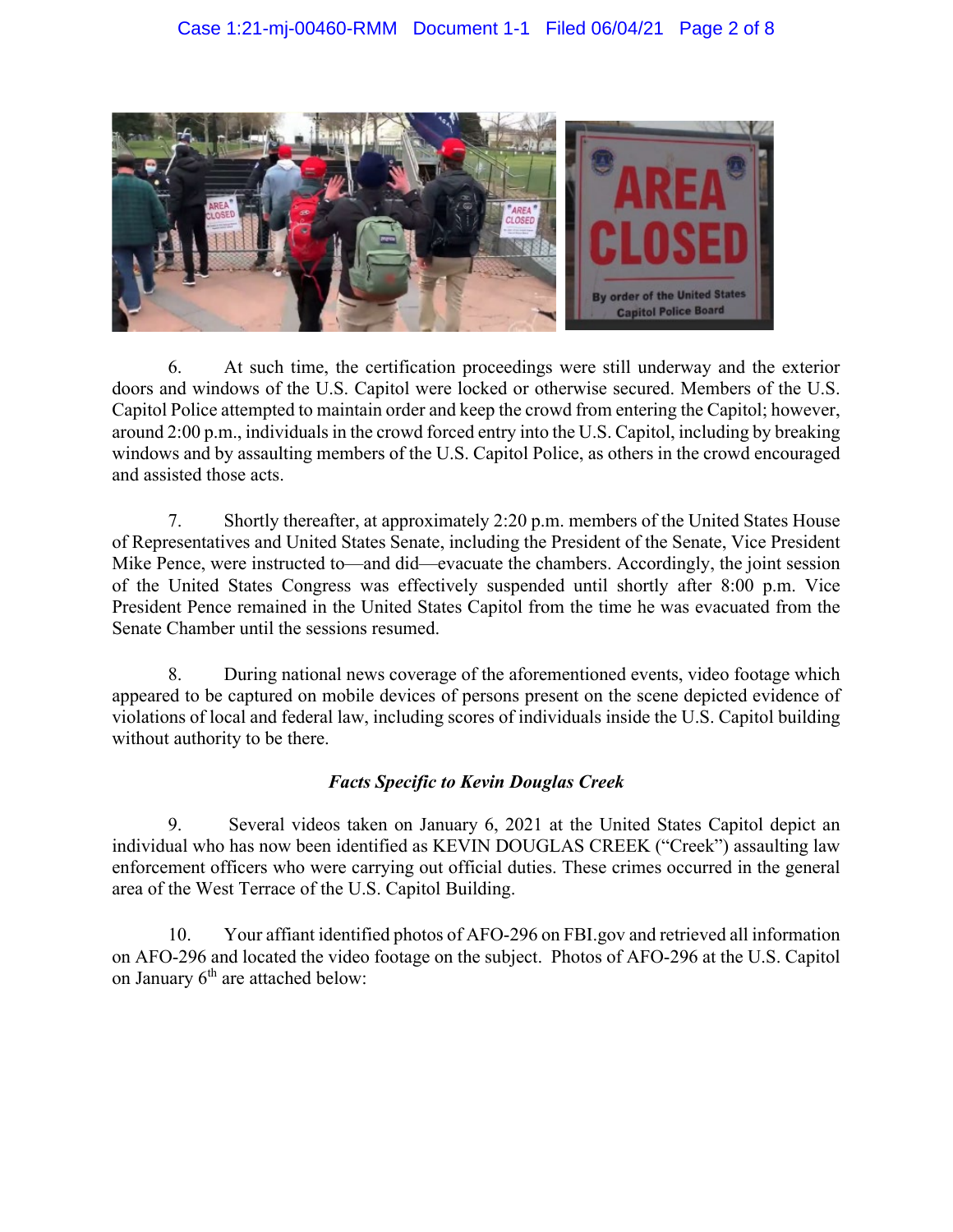

6. At such time, the certification proceedings were still underway and the exterior doors and windows of the U.S. Capitol were locked or otherwise secured. Members of the U.S. Capitol Police attempted to maintain order and keep the crowd from entering the Capitol; however, around 2:00 p.m., individuals in the crowd forced entry into the U.S. Capitol, including by breaking windows and by assaulting members of the U.S. Capitol Police, as others in the crowd encouraged and assisted those acts.

7. Shortly thereafter, at approximately 2:20 p.m. members of the United States House of Representatives and United States Senate, including the President of the Senate, Vice President Mike Pence, were instructed to—and did—evacuate the chambers. Accordingly, the joint session of the United States Congress was effectively suspended until shortly after 8:00 p.m. Vice President Pence remained in the United States Capitol from the time he was evacuated from the Senate Chamber until the sessions resumed.

8. During national news coverage of the aforementioned events, video footage which appeared to be captured on mobile devices of persons present on the scene depicted evidence of violations of local and federal law, including scores of individuals inside the U.S. Capitol building without authority to be there.

# *Facts Specific to Kevin Douglas Creek*

9. Several videos taken on January 6, 2021 at the United States Capitol depict an individual who has now been identified as KEVIN DOUGLAS CREEK ("Creek") assaulting law enforcement officers who were carrying out official duties. These crimes occurred in the general area of the West Terrace of the U.S. Capitol Building.

10. Your affiant identified photos of AFO-296 on FBI.gov and retrieved all information on AFO-296 and located the video footage on the subject. Photos of AFO-296 at the U.S. Capitol on January  $6<sup>th</sup>$  are attached below: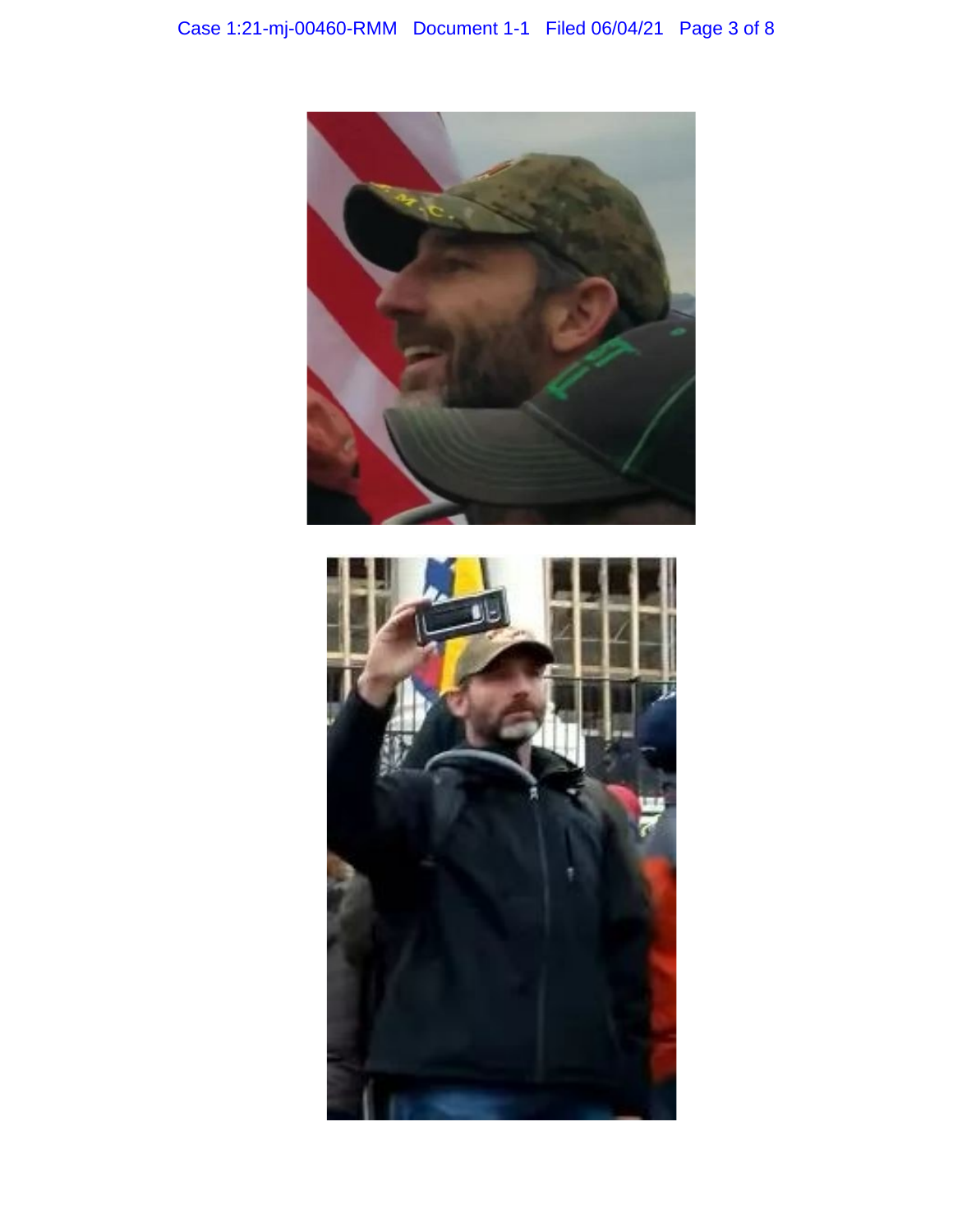

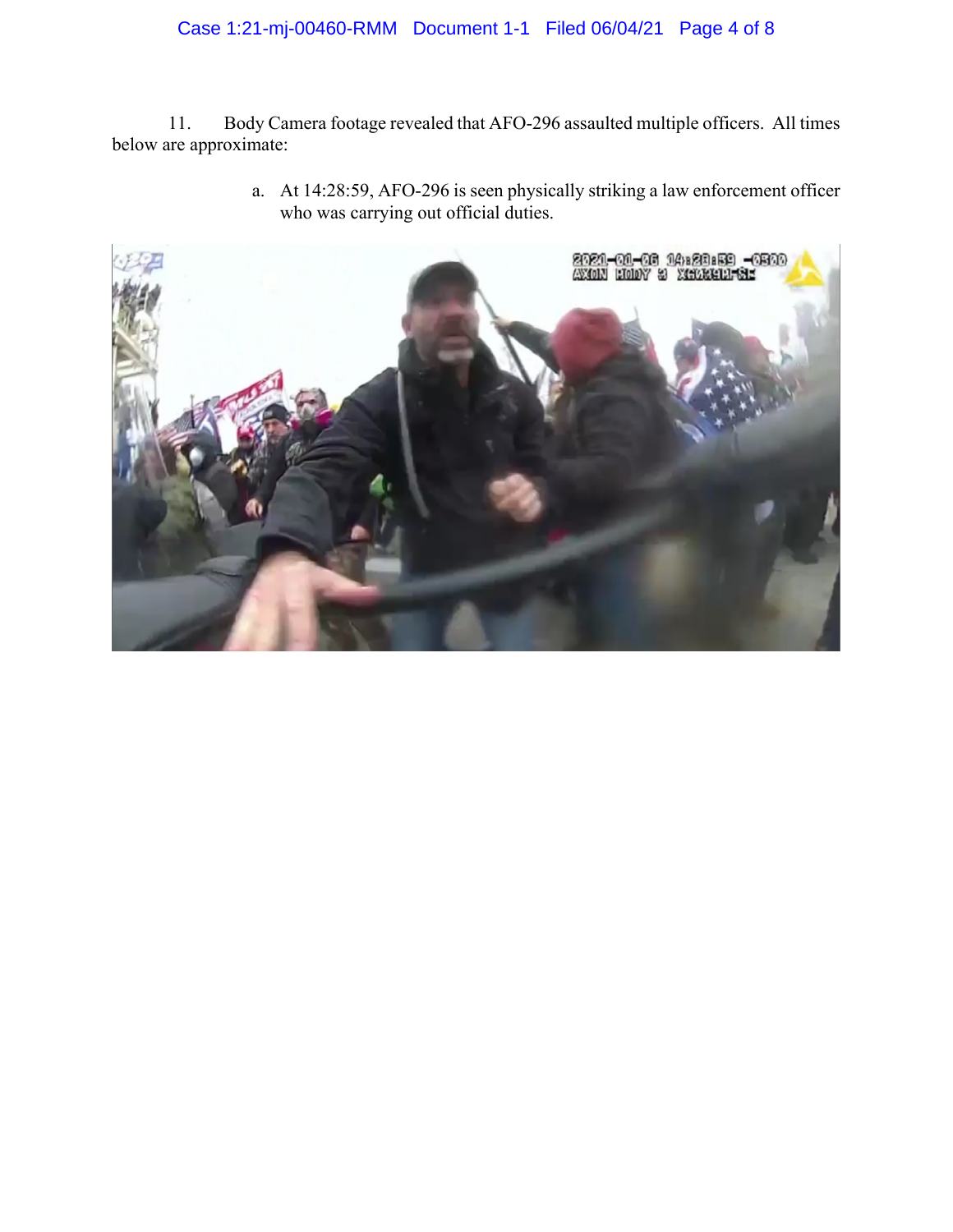# Case 1:21-mj-00460-RMM Document 1-1 Filed 06/04/21 Page 4 of 8

11. Body Camera footage revealed that AFO-296 assaulted multiple officers. All times below are approximate:

> a. At 14:28:59, AFO-296 is seen physically striking a law enforcement officer who was carrying out official duties.

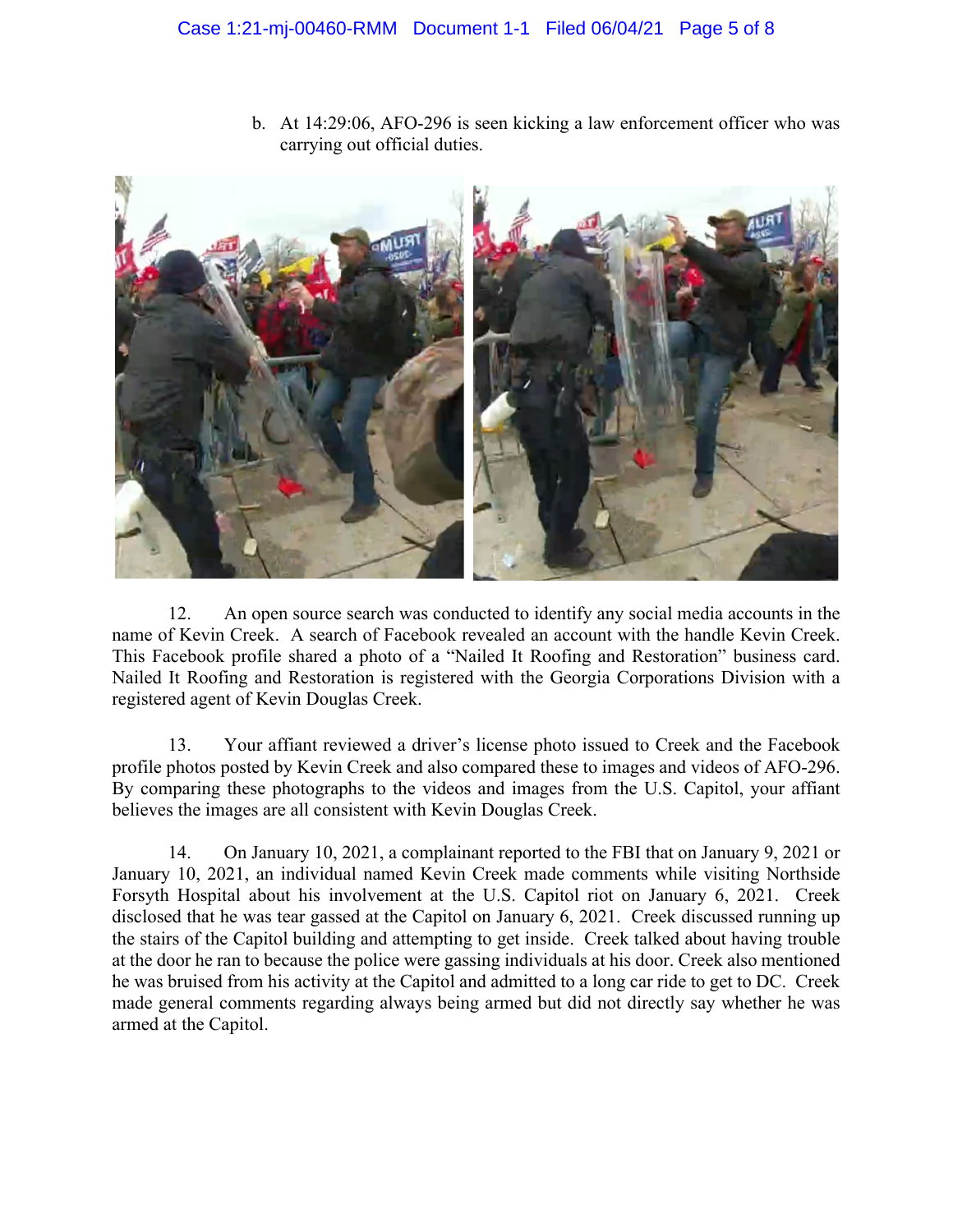

b. At 14:29:06, AFO-296 is seen kicking a law enforcement officer who was carrying out official duties.

12. An open source search was conducted to identify any social media accounts in the name of Kevin Creek. A search of Facebook revealed an account with the handle Kevin Creek. This Facebook profile shared a photo of a "Nailed It Roofing and Restoration" business card. Nailed It Roofing and Restoration is registered with the Georgia Corporations Division with a registered agent of Kevin Douglas Creek.

13. Your affiant reviewed a driver's license photo issued to Creek and the Facebook profile photos posted by Kevin Creek and also compared these to images and videos of AFO-296. By comparing these photographs to the videos and images from the U.S. Capitol, your affiant believes the images are all consistent with Kevin Douglas Creek.

14. On January 10, 2021, a complainant reported to the FBI that on January 9, 2021 or January 10, 2021, an individual named Kevin Creek made comments while visiting Northside Forsyth Hospital about his involvement at the U.S. Capitol riot on January 6, 2021. Creek disclosed that he was tear gassed at the Capitol on January 6, 2021. Creek discussed running up the stairs of the Capitol building and attempting to get inside. Creek talked about having trouble at the door he ran to because the police were gassing individuals at his door. Creek also mentioned he was bruised from his activity at the Capitol and admitted to a long car ride to get to DC. Creek made general comments regarding always being armed but did not directly say whether he was armed at the Capitol.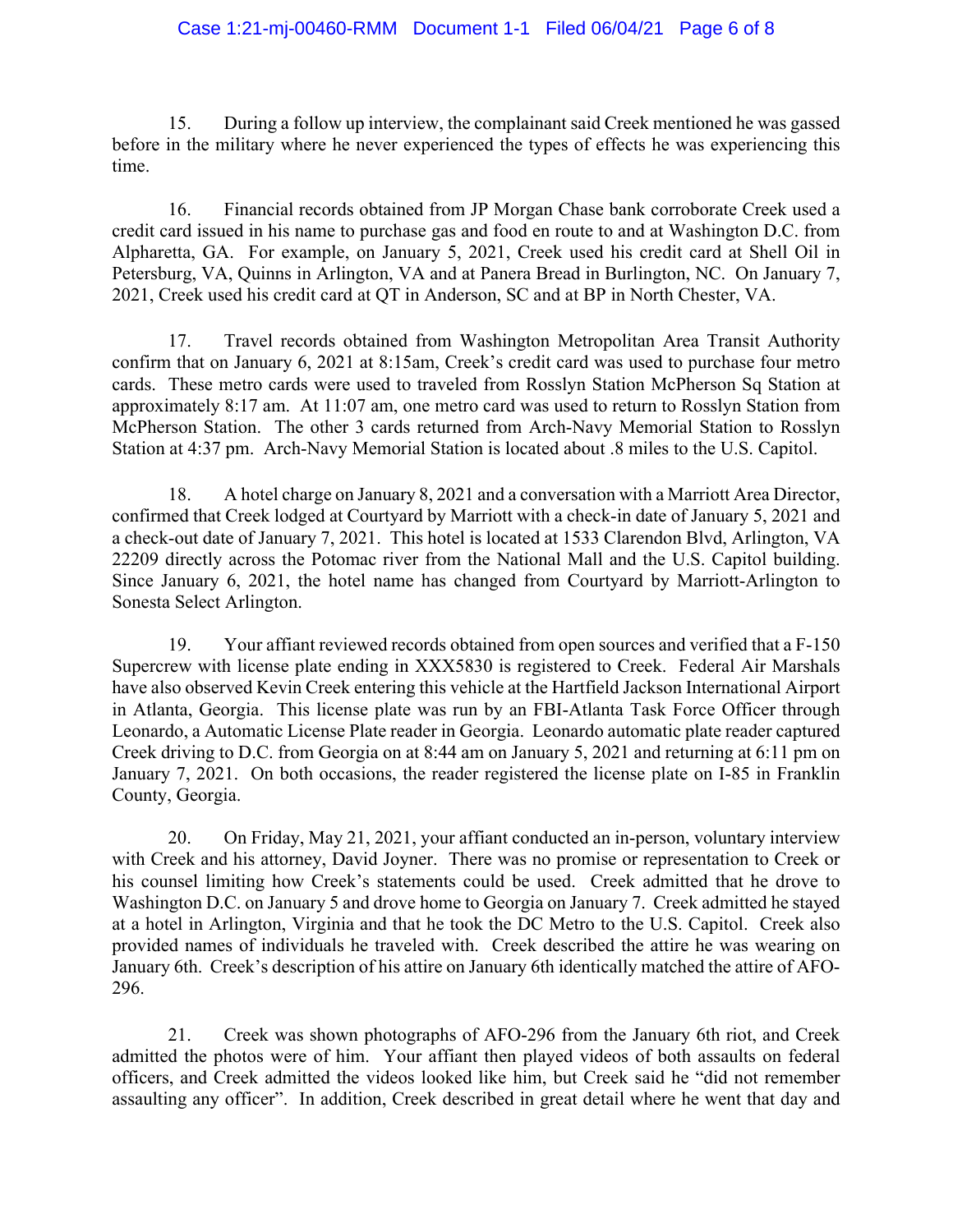#### Case 1:21-mj-00460-RMM Document 1-1 Filed 06/04/21 Page 6 of 8

15. During a follow up interview, the complainant said Creek mentioned he was gassed before in the military where he never experienced the types of effects he was experiencing this time.

16. Financial records obtained from JP Morgan Chase bank corroborate Creek used a credit card issued in his name to purchase gas and food en route to and at Washington D.C. from Alpharetta, GA. For example, on January 5, 2021, Creek used his credit card at Shell Oil in Petersburg, VA, Quinns in Arlington, VA and at Panera Bread in Burlington, NC. On January 7, 2021, Creek used his credit card at QT in Anderson, SC and at BP in North Chester, VA.

17. Travel records obtained from Washington Metropolitan Area Transit Authority confirm that on January 6, 2021 at 8:15am, Creek's credit card was used to purchase four metro cards. These metro cards were used to traveled from Rosslyn Station McPherson Sq Station at approximately 8:17 am. At 11:07 am, one metro card was used to return to Rosslyn Station from McPherson Station. The other 3 cards returned from Arch-Navy Memorial Station to Rosslyn Station at 4:37 pm. Arch-Navy Memorial Station is located about .8 miles to the U.S. Capitol.

18. A hotel charge on January 8, 2021 and a conversation with a Marriott Area Director, confirmed that Creek lodged at Courtyard by Marriott with a check-in date of January 5, 2021 and a check-out date of January 7, 2021. This hotel is located at 1533 Clarendon Blvd, Arlington, VA 22209 directly across the Potomac river from the National Mall and the U.S. Capitol building. Since January 6, 2021, the hotel name has changed from Courtyard by Marriott-Arlington to Sonesta Select Arlington.

19. Your affiant reviewed records obtained from open sources and verified that a F-150 Supercrew with license plate ending in XXX5830 is registered to Creek. Federal Air Marshals have also observed Kevin Creek entering this vehicle at the Hartfield Jackson International Airport in Atlanta, Georgia. This license plate was run by an FBI-Atlanta Task Force Officer through Leonardo, a Automatic License Plate reader in Georgia. Leonardo automatic plate reader captured Creek driving to D.C. from Georgia on at 8:44 am on January 5, 2021 and returning at 6:11 pm on January 7, 2021. On both occasions, the reader registered the license plate on I-85 in Franklin County, Georgia.

20. On Friday, May 21, 2021, your affiant conducted an in-person, voluntary interview with Creek and his attorney, David Joyner. There was no promise or representation to Creek or his counsel limiting how Creek's statements could be used. Creek admitted that he drove to Washington D.C. on January 5 and drove home to Georgia on January 7. Creek admitted he stayed at a hotel in Arlington, Virginia and that he took the DC Metro to the U.S. Capitol. Creek also provided names of individuals he traveled with. Creek described the attire he was wearing on January 6th. Creek's description of his attire on January 6th identically matched the attire of AFO-296.

21. Creek was shown photographs of AFO-296 from the January 6th riot, and Creek admitted the photos were of him. Your affiant then played videos of both assaults on federal officers, and Creek admitted the videos looked like him, but Creek said he "did not remember assaulting any officer". In addition, Creek described in great detail where he went that day and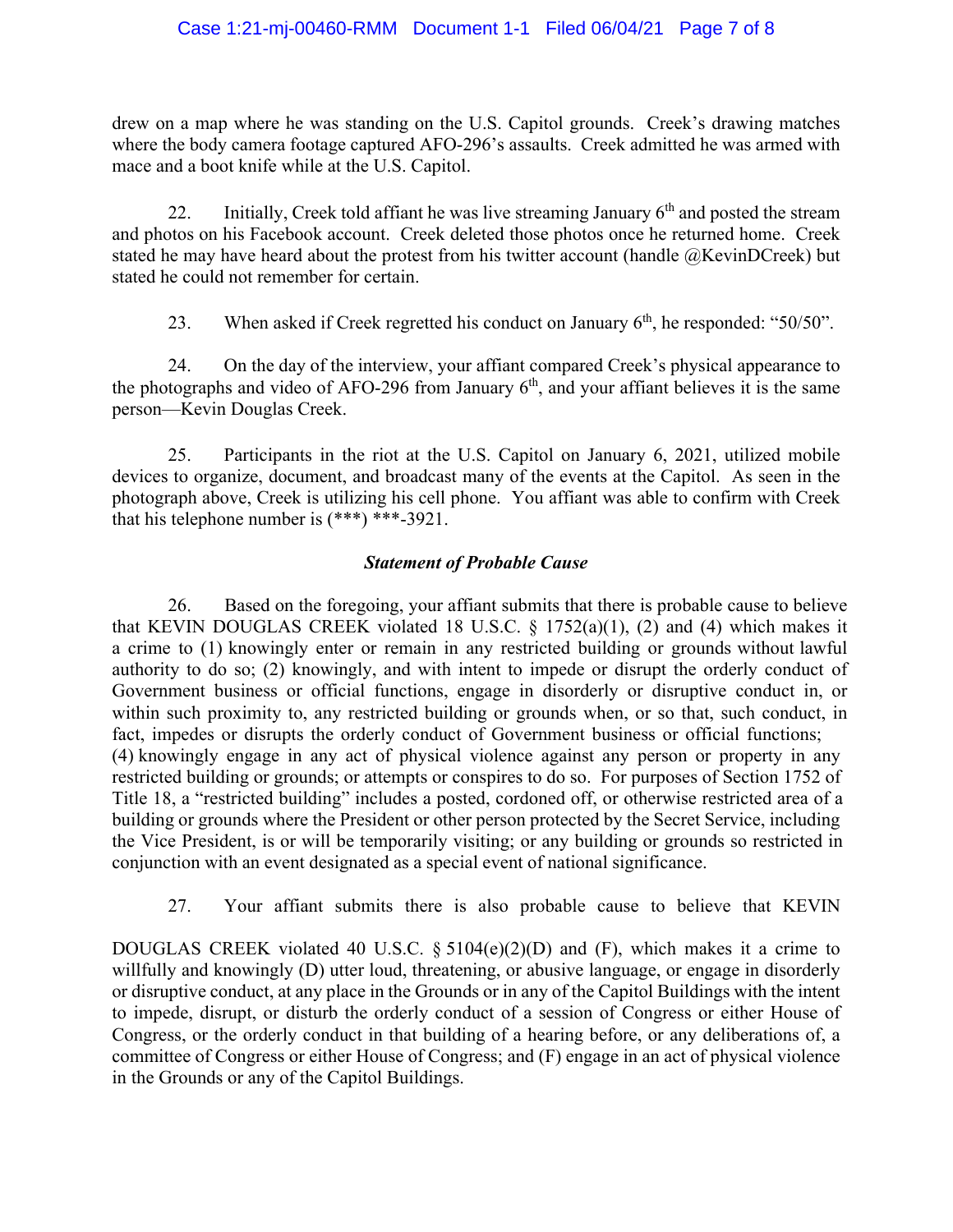#### Case 1:21-mj-00460-RMM Document 1-1 Filed 06/04/21 Page 7 of 8

drew on a map where he was standing on the U.S. Capitol grounds. Creek's drawing matches where the body camera footage captured AFO-296's assaults. Creek admitted he was armed with mace and a boot knife while at the U.S. Capitol.

22. Initially, Creek told affiant he was live streaming January  $6<sup>th</sup>$  and posted the stream and photos on his Facebook account. Creek deleted those photos once he returned home. Creek stated he may have heard about the protest from his twitter account (handle @KevinDCreek) but stated he could not remember for certain.

23. When asked if Creek regretted his conduct on January  $6<sup>th</sup>$ , he responded: "50/50".

24. On the day of the interview, your affiant compared Creek's physical appearance to the photographs and video of AFO-296 from January  $6<sup>th</sup>$ , and your affiant believes it is the same person—Kevin Douglas Creek.

25. Participants in the riot at the U.S. Capitol on January 6, 2021, utilized mobile devices to organize, document, and broadcast many of the events at the Capitol. As seen in the photograph above, Creek is utilizing his cell phone. You affiant was able to confirm with Creek that his telephone number is (\*\*\*) \*\*\*-3921.

### *Statement of Probable Cause*

26. Based on the foregoing, your affiant submits that there is probable cause to believe that KEVIN DOUGLAS CREEK violated 18 U.S.C.  $\S$  1752(a)(1), (2) and (4) which makes it a crime to (1) knowingly enter or remain in any restricted building or grounds without lawful authority to do so; (2) knowingly, and with intent to impede or disrupt the orderly conduct of Government business or official functions, engage in disorderly or disruptive conduct in, or within such proximity to, any restricted building or grounds when, or so that, such conduct, in fact, impedes or disrupts the orderly conduct of Government business or official functions; (4) knowingly engage in any act of physical violence against any person or property in any restricted building or grounds; or attempts or conspires to do so. For purposes of Section 1752 of Title 18, a "restricted building" includes a posted, cordoned off, or otherwise restricted area of a building or grounds where the President or other person protected by the Secret Service, including the Vice President, is or will be temporarily visiting; or any building or grounds so restricted in conjunction with an event designated as a special event of national significance.

27. Your affiant submits there is also probable cause to believe that KEVIN

DOUGLAS CREEK violated 40 U.S.C.  $\S 5104(e)(2)(D)$  and (F), which makes it a crime to willfully and knowingly (D) utter loud, threatening, or abusive language, or engage in disorderly or disruptive conduct, at any place in the Grounds or in any of the Capitol Buildings with the intent to impede, disrupt, or disturb the orderly conduct of a session of Congress or either House of Congress, or the orderly conduct in that building of a hearing before, or any deliberations of, a committee of Congress or either House of Congress; and (F) engage in an act of physical violence in the Grounds or any of the Capitol Buildings.